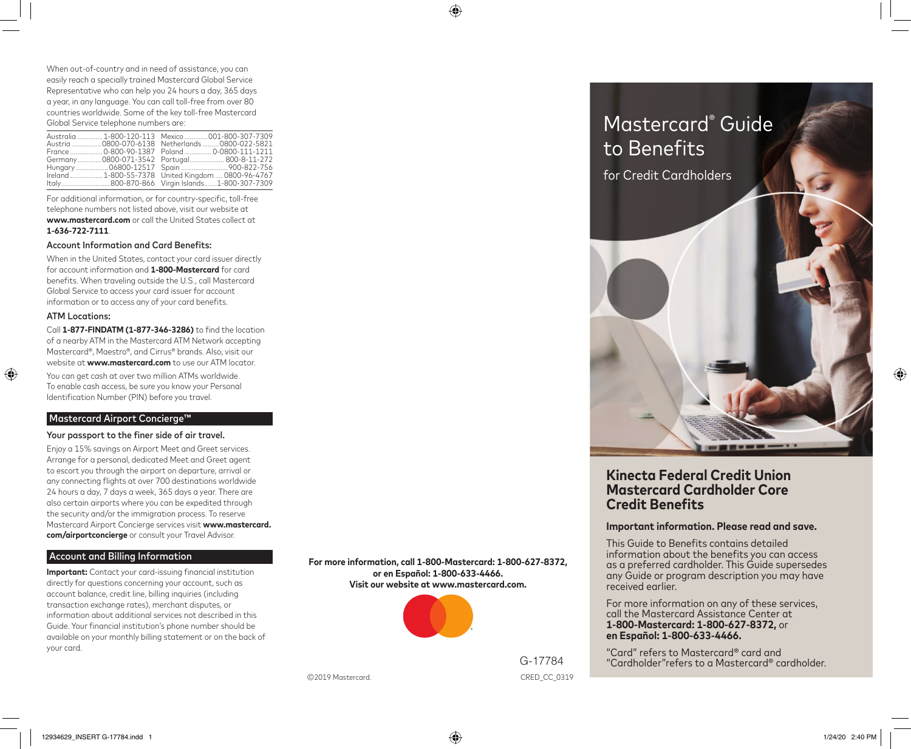When out-of-country and in need of assistance, you can easily reach a specially trained Mastercard Global Service Representative who can help you 24 hours a day, 365 days a year, in any language. You can call toll-free from over 80 countries worldwide. Some of the key toll-free Mastercard Global Service telephone numbers are:

|  | Australia 1-800-120-113 Mexico 001-800-307-7309    |
|--|----------------------------------------------------|
|  | Austria  0800-070-6138 Netherlands  0800-022-5821  |
|  | France 0-800-90-1387 Poland 0-0800-111-1211        |
|  | Germany 0800-071-3542 Portugal 800-8-11-272        |
|  |                                                    |
|  | Ireland 1-800-55-7378 United Kingdom  0800-96-4767 |
|  |                                                    |

For additional information, or for country-specific, toll-free telephone numbers not listed above, visit our website at **www.mastercard.com** or call the United States collect at **1-636-722-7111**.

#### Account Information and Card Benefits:

When in the United States, contact your card issuer directly for account information and **1-800-Mastercard** for card benefits. When traveling outside the U.S., call Mastercard Global Service to access your card issuer for account information or to access any of your card benefits.

# ATM Locations:

Call **1-877-FINDATM (1-877-346-3286)** to find the location of a nearby ATM in the Mastercard ATM Network accepting Mastercard®, Maestro®, and Cirrus® brands. Also, visit our website at **www.mastercard.com** to use our ATM locator. You can get cash at over two million ATMs worldwide. To enable cash access, be sure you know your Personal Identification Number (PIN) before you travel.

# Mastercard Airport Concierge™

#### Your passport to the finer side of air travel.

Enjoy a 15% savings on Airport Meet and Greet services. Arrange for a personal, dedicated Meet and Greet agent to escort you through the airport on departure, arrival or any connecting flights at over 700 destinations worldwide 24 hours a day, 7 days a week, 365 days a year. There are also certain airports where you can be expedited through the security and/or the immigration process. To reserve Mastercard Airport Concierge services visit **www.mastercard. com/airportconcierge** or consult your Travel Advisor.

# Account and Billing Information

**Important:** Contact your card-issuing financial institution directly for questions concerning your account, such as account balance, credit line, billing inquiries (including transaction exchange rates), merchant disputes, or information about additional services not described in this Guide. Your financial institution's phone number should be available on your monthly billing statement or on the back of your card.

**For more information, call 1-800-Mastercard: 1-800-627-8372, or en Español: 1-800-633-4466. Visit our website at www.mastercard.com.**

⊕



G-17784

CRED\_CC\_0319 Mastercard.

Mastercard® Guide to Benefits for Credit Cardholders

# **.inecta Federal Credit Union Mastercard Cardholder Core Credit Benefits**

# **Important information. Please read and save.**

This Guide to Benefits contains detailed information about the benefits you can access as a preferred cardholder. This Guide supersedes any Guide or program description you may have received earlier.

For more information on any of these services, call the Mastercard Assistance Center at **1-800-Mastercard: 1-800-627-8372,** or **en Español: 1-800-633-4466.**

"Card" refers to Mastercard® card and "Cardholder"refers to a Mastercard® cardholder.

 $\bigoplus$